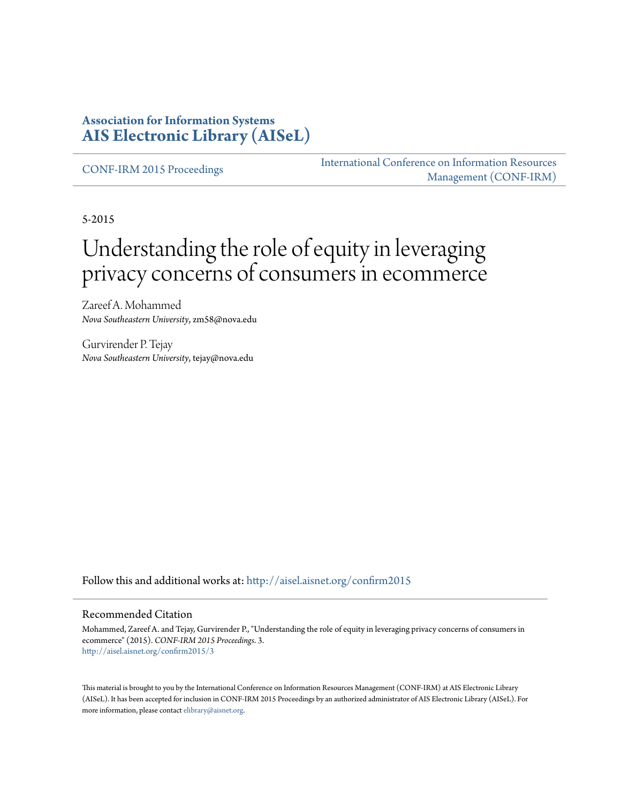## **Association for Information Systems [AIS Electronic Library \(AISeL\)](http://aisel.aisnet.org?utm_source=aisel.aisnet.org%2Fconfirm2015%2F3&utm_medium=PDF&utm_campaign=PDFCoverPages)**

[CONF-IRM 2015 Proceedings](http://aisel.aisnet.org/confirm2015?utm_source=aisel.aisnet.org%2Fconfirm2015%2F3&utm_medium=PDF&utm_campaign=PDFCoverPages)

[International Conference on Information Resources](http://aisel.aisnet.org/conf-irm?utm_source=aisel.aisnet.org%2Fconfirm2015%2F3&utm_medium=PDF&utm_campaign=PDFCoverPages) [Management \(CONF-IRM\)](http://aisel.aisnet.org/conf-irm?utm_source=aisel.aisnet.org%2Fconfirm2015%2F3&utm_medium=PDF&utm_campaign=PDFCoverPages)

5-2015

# Understanding the role of equity in leveraging privacy concerns of consumers in ecommerce

Zareef A. Mohammed *Nova Southeastern University*, zm58@nova.edu

Gurvirender P. Tejay *Nova Southeastern University*, tejay@nova.edu

Follow this and additional works at: [http://aisel.aisnet.org/confirm2015](http://aisel.aisnet.org/confirm2015?utm_source=aisel.aisnet.org%2Fconfirm2015%2F3&utm_medium=PDF&utm_campaign=PDFCoverPages)

#### Recommended Citation

Mohammed, Zareef A. and Tejay, Gurvirender P., "Understanding the role of equity in leveraging privacy concerns of consumers in ecommerce" (2015). *CONF-IRM 2015 Proceedings*. 3. [http://aisel.aisnet.org/confirm2015/3](http://aisel.aisnet.org/confirm2015/3?utm_source=aisel.aisnet.org%2Fconfirm2015%2F3&utm_medium=PDF&utm_campaign=PDFCoverPages)

This material is brought to you by the International Conference on Information Resources Management (CONF-IRM) at AIS Electronic Library (AISeL). It has been accepted for inclusion in CONF-IRM 2015 Proceedings by an authorized administrator of AIS Electronic Library (AISeL). For more information, please contact [elibrary@aisnet.org.](mailto:elibrary@aisnet.org%3E)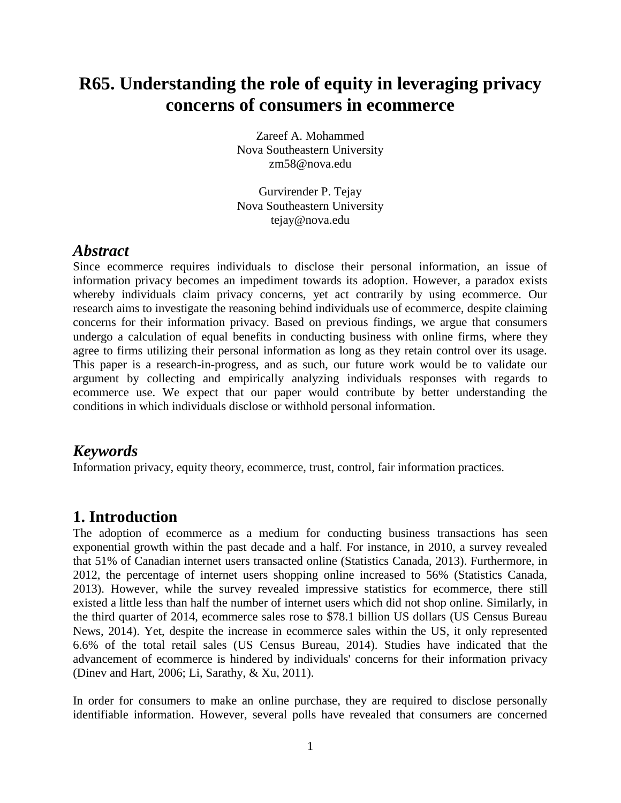## **R65. Understanding the role of equity in leveraging privacy concerns of consumers in ecommerce**

Zareef A. Mohammed Nova Southeastern University zm58@nova.edu

Gurvirender P. Tejay Nova Southeastern University tejay@nova.edu

#### *Abstract*

Since ecommerce requires individuals to disclose their personal information, an issue of information privacy becomes an impediment towards its adoption. However, a paradox exists whereby individuals claim privacy concerns, yet act contrarily by using ecommerce. Our research aims to investigate the reasoning behind individuals use of ecommerce, despite claiming concerns for their information privacy. Based on previous findings, we argue that consumers undergo a calculation of equal benefits in conducting business with online firms, where they agree to firms utilizing their personal information as long as they retain control over its usage. This paper is a research-in-progress, and as such, our future work would be to validate our argument by collecting and empirically analyzing individuals responses with regards to ecommerce use. We expect that our paper would contribute by better understanding the conditions in which individuals disclose or withhold personal information.

## *Keywords*

Information privacy, equity theory, ecommerce, trust, control, fair information practices.

## **1. Introduction**

The adoption of ecommerce as a medium for conducting business transactions has seen exponential growth within the past decade and a half. For instance, in 2010, a survey revealed that 51% of Canadian internet users transacted online (Statistics Canada, 2013). Furthermore, in 2012, the percentage of internet users shopping online increased to 56% (Statistics Canada, 2013). However, while the survey revealed impressive statistics for ecommerce, there still existed a little less than half the number of internet users which did not shop online. Similarly, in the third quarter of 2014, ecommerce sales rose to \$78.1 billion US dollars (US Census Bureau News, 2014). Yet, despite the increase in ecommerce sales within the US, it only represented 6.6% of the total retail sales (US Census Bureau, 2014). Studies have indicated that the advancement of ecommerce is hindered by individuals' concerns for their information privacy (Dinev and Hart, 2006; Li, Sarathy, & Xu, 2011).

In order for consumers to make an online purchase, they are required to disclose personally identifiable information. However, several polls have revealed that consumers are concerned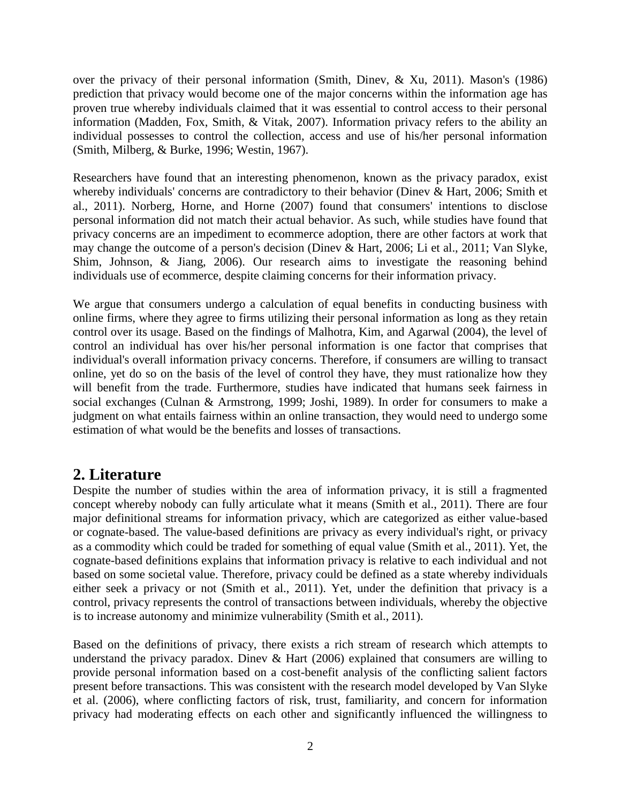over the privacy of their personal information (Smith, Dinev, & Xu, 2011). Mason's (1986) prediction that privacy would become one of the major concerns within the information age has proven true whereby individuals claimed that it was essential to control access to their personal information (Madden, Fox, Smith, & Vitak, 2007). Information privacy refers to the ability an individual possesses to control the collection, access and use of his/her personal information (Smith, Milberg, & Burke, 1996; Westin, 1967).

Researchers have found that an interesting phenomenon, known as the privacy paradox, exist whereby individuals' concerns are contradictory to their behavior (Dinev & Hart, 2006; Smith et al., 2011). Norberg, Horne, and Horne (2007) found that consumers' intentions to disclose personal information did not match their actual behavior. As such, while studies have found that privacy concerns are an impediment to ecommerce adoption, there are other factors at work that may change the outcome of a person's decision (Dinev & Hart, 2006; Li et al., 2011; Van Slyke, Shim, Johnson, & Jiang, 2006). Our research aims to investigate the reasoning behind individuals use of ecommerce, despite claiming concerns for their information privacy.

We argue that consumers undergo a calculation of equal benefits in conducting business with online firms, where they agree to firms utilizing their personal information as long as they retain control over its usage. Based on the findings of Malhotra, Kim, and Agarwal (2004), the level of control an individual has over his/her personal information is one factor that comprises that individual's overall information privacy concerns. Therefore, if consumers are willing to transact online, yet do so on the basis of the level of control they have, they must rationalize how they will benefit from the trade. Furthermore, studies have indicated that humans seek fairness in social exchanges (Culnan & Armstrong, 1999; Joshi, 1989). In order for consumers to make a judgment on what entails fairness within an online transaction, they would need to undergo some estimation of what would be the benefits and losses of transactions.

## **2. Literature**

Despite the number of studies within the area of information privacy, it is still a fragmented concept whereby nobody can fully articulate what it means (Smith et al., 2011). There are four major definitional streams for information privacy, which are categorized as either value-based or cognate-based. The value-based definitions are privacy as every individual's right, or privacy as a commodity which could be traded for something of equal value (Smith et al., 2011). Yet, the cognate-based definitions explains that information privacy is relative to each individual and not based on some societal value. Therefore, privacy could be defined as a state whereby individuals either seek a privacy or not (Smith et al., 2011). Yet, under the definition that privacy is a control, privacy represents the control of transactions between individuals, whereby the objective is to increase autonomy and minimize vulnerability (Smith et al., 2011).

Based on the definitions of privacy, there exists a rich stream of research which attempts to understand the privacy paradox. Diney  $\&$  Hart (2006) explained that consumers are willing to provide personal information based on a cost-benefit analysis of the conflicting salient factors present before transactions. This was consistent with the research model developed by Van Slyke et al. (2006), where conflicting factors of risk, trust, familiarity, and concern for information privacy had moderating effects on each other and significantly influenced the willingness to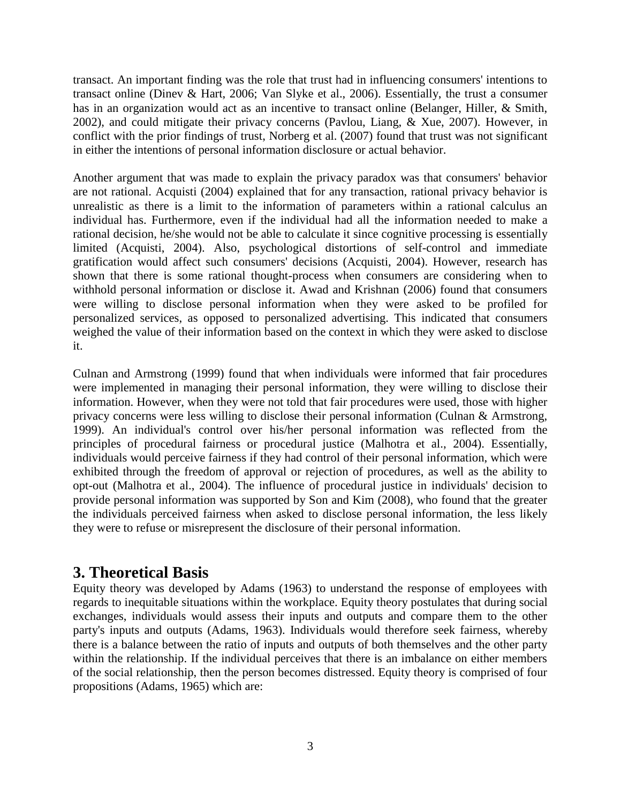transact. An important finding was the role that trust had in influencing consumers' intentions to transact online (Dinev & Hart, 2006; Van Slyke et al., 2006). Essentially, the trust a consumer has in an organization would act as an incentive to transact online (Belanger, Hiller, & Smith, 2002), and could mitigate their privacy concerns (Pavlou, Liang, & Xue, 2007). However, in conflict with the prior findings of trust, Norberg et al. (2007) found that trust was not significant in either the intentions of personal information disclosure or actual behavior.

Another argument that was made to explain the privacy paradox was that consumers' behavior are not rational. Acquisti (2004) explained that for any transaction, rational privacy behavior is unrealistic as there is a limit to the information of parameters within a rational calculus an individual has. Furthermore, even if the individual had all the information needed to make a rational decision, he/she would not be able to calculate it since cognitive processing is essentially limited (Acquisti, 2004). Also, psychological distortions of self-control and immediate gratification would affect such consumers' decisions (Acquisti, 2004). However, research has shown that there is some rational thought-process when consumers are considering when to withhold personal information or disclose it. Awad and Krishnan (2006) found that consumers were willing to disclose personal information when they were asked to be profiled for personalized services, as opposed to personalized advertising. This indicated that consumers weighed the value of their information based on the context in which they were asked to disclose it.

Culnan and Armstrong (1999) found that when individuals were informed that fair procedures were implemented in managing their personal information, they were willing to disclose their information. However, when they were not told that fair procedures were used, those with higher privacy concerns were less willing to disclose their personal information (Culnan & Armstrong, 1999). An individual's control over his/her personal information was reflected from the principles of procedural fairness or procedural justice (Malhotra et al., 2004). Essentially, individuals would perceive fairness if they had control of their personal information, which were exhibited through the freedom of approval or rejection of procedures, as well as the ability to opt-out (Malhotra et al., 2004). The influence of procedural justice in individuals' decision to provide personal information was supported by Son and Kim (2008), who found that the greater the individuals perceived fairness when asked to disclose personal information, the less likely they were to refuse or misrepresent the disclosure of their personal information.

## **3. Theoretical Basis**

Equity theory was developed by Adams (1963) to understand the response of employees with regards to inequitable situations within the workplace. Equity theory postulates that during social exchanges, individuals would assess their inputs and outputs and compare them to the other party's inputs and outputs (Adams, 1963). Individuals would therefore seek fairness, whereby there is a balance between the ratio of inputs and outputs of both themselves and the other party within the relationship. If the individual perceives that there is an imbalance on either members of the social relationship, then the person becomes distressed. Equity theory is comprised of four propositions (Adams, 1965) which are: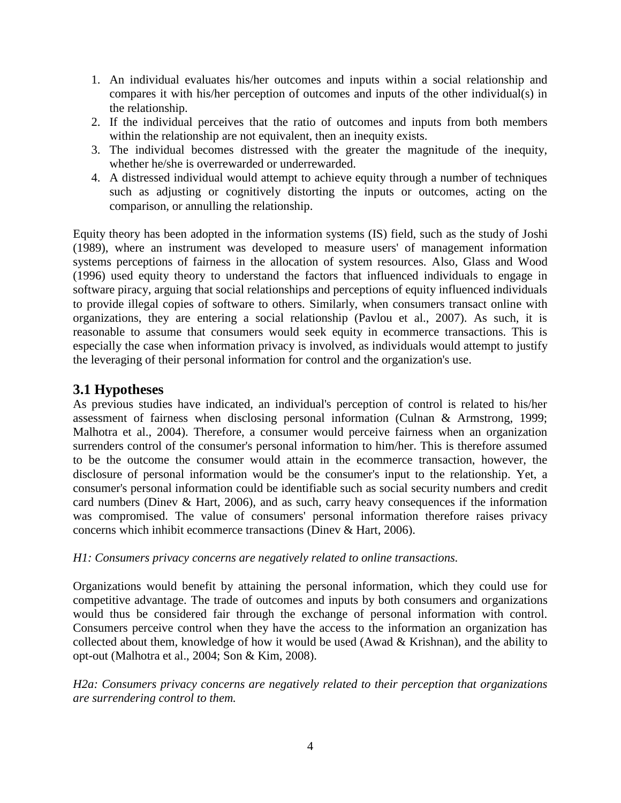- 1. An individual evaluates his/her outcomes and inputs within a social relationship and compares it with his/her perception of outcomes and inputs of the other individual(s) in the relationship.
- 2. If the individual perceives that the ratio of outcomes and inputs from both members within the relationship are not equivalent, then an inequity exists.
- 3. The individual becomes distressed with the greater the magnitude of the inequity, whether he/she is overrewarded or underrewarded.
- 4. A distressed individual would attempt to achieve equity through a number of techniques such as adjusting or cognitively distorting the inputs or outcomes, acting on the comparison, or annulling the relationship.

Equity theory has been adopted in the information systems (IS) field, such as the study of Joshi (1989), where an instrument was developed to measure users' of management information systems perceptions of fairness in the allocation of system resources. Also, Glass and Wood (1996) used equity theory to understand the factors that influenced individuals to engage in software piracy, arguing that social relationships and perceptions of equity influenced individuals to provide illegal copies of software to others. Similarly, when consumers transact online with organizations, they are entering a social relationship (Pavlou et al., 2007). As such, it is reasonable to assume that consumers would seek equity in ecommerce transactions. This is especially the case when information privacy is involved, as individuals would attempt to justify the leveraging of their personal information for control and the organization's use.

## **3.1 Hypotheses**

As previous studies have indicated, an individual's perception of control is related to his/her assessment of fairness when disclosing personal information (Culnan & Armstrong, 1999; Malhotra et al., 2004). Therefore, a consumer would perceive fairness when an organization surrenders control of the consumer's personal information to him/her. This is therefore assumed to be the outcome the consumer would attain in the ecommerce transaction, however, the disclosure of personal information would be the consumer's input to the relationship. Yet, a consumer's personal information could be identifiable such as social security numbers and credit card numbers (Dinev & Hart, 2006), and as such, carry heavy consequences if the information was compromised. The value of consumers' personal information therefore raises privacy concerns which inhibit ecommerce transactions (Dinev & Hart, 2006).

#### *H1: Consumers privacy concerns are negatively related to online transactions.*

Organizations would benefit by attaining the personal information, which they could use for competitive advantage. The trade of outcomes and inputs by both consumers and organizations would thus be considered fair through the exchange of personal information with control. Consumers perceive control when they have the access to the information an organization has collected about them, knowledge of how it would be used (Awad  $&$  Krishnan), and the ability to opt-out (Malhotra et al., 2004; Son & Kim, 2008).

*H2a: Consumers privacy concerns are negatively related to their perception that organizations are surrendering control to them.*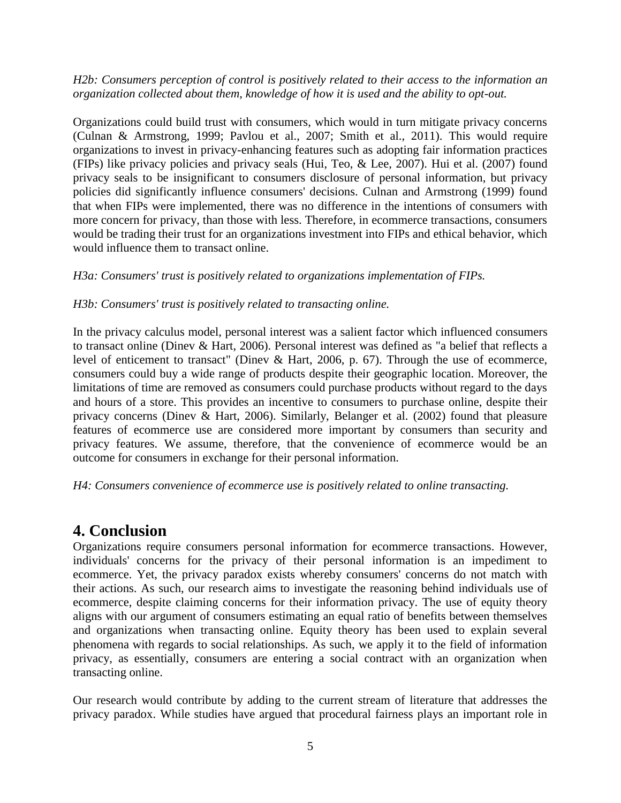#### *H2b: Consumers perception of control is positively related to their access to the information an organization collected about them, knowledge of how it is used and the ability to opt-out.*

Organizations could build trust with consumers, which would in turn mitigate privacy concerns (Culnan & Armstrong, 1999; Pavlou et al., 2007; Smith et al., 2011). This would require organizations to invest in privacy-enhancing features such as adopting fair information practices (FIPs) like privacy policies and privacy seals (Hui, Teo, & Lee, 2007). Hui et al. (2007) found privacy seals to be insignificant to consumers disclosure of personal information, but privacy policies did significantly influence consumers' decisions. Culnan and Armstrong (1999) found that when FIPs were implemented, there was no difference in the intentions of consumers with more concern for privacy, than those with less. Therefore, in ecommerce transactions, consumers would be trading their trust for an organizations investment into FIPs and ethical behavior, which would influence them to transact online.

#### *H3a: Consumers' trust is positively related to organizations implementation of FIPs.*

#### *H3b: Consumers' trust is positively related to transacting online.*

In the privacy calculus model, personal interest was a salient factor which influenced consumers to transact online (Dinev & Hart, 2006). Personal interest was defined as "a belief that reflects a level of enticement to transact" (Dinev & Hart, 2006, p. 67). Through the use of ecommerce, consumers could buy a wide range of products despite their geographic location. Moreover, the limitations of time are removed as consumers could purchase products without regard to the days and hours of a store. This provides an incentive to consumers to purchase online, despite their privacy concerns (Dinev & Hart, 2006). Similarly, Belanger et al. (2002) found that pleasure features of ecommerce use are considered more important by consumers than security and privacy features. We assume, therefore, that the convenience of ecommerce would be an outcome for consumers in exchange for their personal information.

#### *H4: Consumers convenience of ecommerce use is positively related to online transacting.*

## **4. Conclusion**

Organizations require consumers personal information for ecommerce transactions. However, individuals' concerns for the privacy of their personal information is an impediment to ecommerce. Yet, the privacy paradox exists whereby consumers' concerns do not match with their actions. As such, our research aims to investigate the reasoning behind individuals use of ecommerce, despite claiming concerns for their information privacy. The use of equity theory aligns with our argument of consumers estimating an equal ratio of benefits between themselves and organizations when transacting online. Equity theory has been used to explain several phenomena with regards to social relationships. As such, we apply it to the field of information privacy, as essentially, consumers are entering a social contract with an organization when transacting online.

Our research would contribute by adding to the current stream of literature that addresses the privacy paradox. While studies have argued that procedural fairness plays an important role in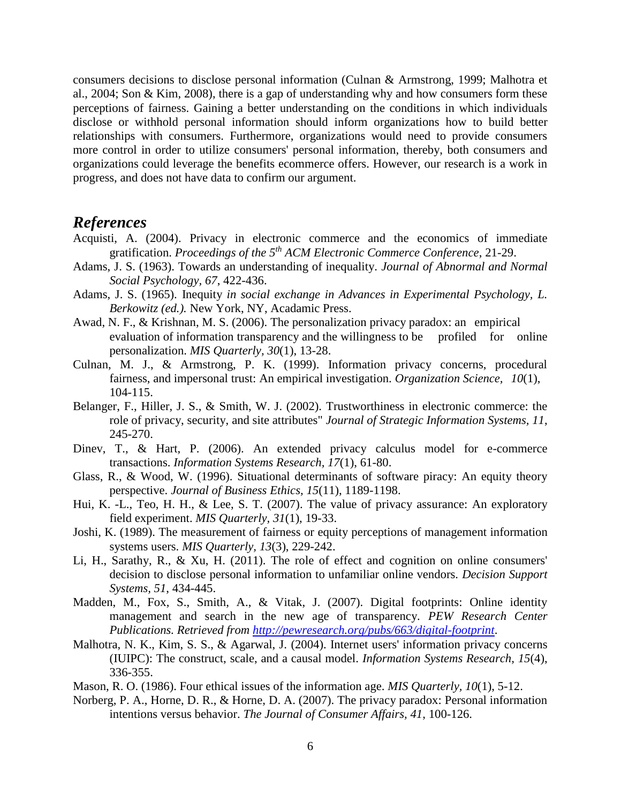consumers decisions to disclose personal information (Culnan & Armstrong, 1999; Malhotra et al., 2004; Son & Kim, 2008), there is a gap of understanding why and how consumers form these perceptions of fairness. Gaining a better understanding on the conditions in which individuals disclose or withhold personal information should inform organizations how to build better relationships with consumers. Furthermore, organizations would need to provide consumers more control in order to utilize consumers' personal information, thereby, both consumers and organizations could leverage the benefits ecommerce offers. However, our research is a work in progress, and does not have data to confirm our argument.

#### *References*

- Acquisti, A. (2004). Privacy in electronic commerce and the economics of immediate gratification. *Proceedings of the 5th ACM Electronic Commerce Conference*, 21-29.
- Adams, J. S. (1963). Towards an understanding of inequality. *Journal of Abnormal and Normal Social Psychology, 67*, 422-436.
- Adams, J. S. (1965). Inequity *in social exchange in Advances in Experimental Psychology, L. Berkowitz (ed.).* New York, NY, Acadamic Press.
- Awad, N. F., & Krishnan, M. S. (2006). The personalization privacy paradox: an empirical evaluation of information transparency and the willingness to be profiled for online personalization. *MIS Quarterly, 30*(1), 13-28.
- Culnan, M. J., & Armstrong, P. K. (1999). Information privacy concerns, procedural fairness, and impersonal trust: An empirical investigation. *Organization Science, 10*(1), 104-115.
- Belanger, F., Hiller, J. S., & Smith, W. J. (2002). Trustworthiness in electronic commerce: the role of privacy, security, and site attributes" *Journal of Strategic Information Systems, 11*, 245-270.
- Dinev, T., & Hart, P. (2006). An extended privacy calculus model for e-commerce transactions. *Information Systems Research, 17*(1), 61-80.
- Glass, R., & Wood, W. (1996). Situational determinants of software piracy: An equity theory perspective. *Journal of Business Ethics, 15*(11), 1189-1198.
- Hui, K. -L., Teo, H. H., & Lee, S. T. (2007). The value of privacy assurance: An exploratory field experiment. *MIS Quarterly, 31*(1), 19-33.
- Joshi, K. (1989). The measurement of fairness or equity perceptions of management information systems users. *MIS Quarterly, 13*(3), 229-242.
- Li, H., Sarathy, R., & Xu, H. (2011). The role of effect and cognition on online consumers' decision to disclose personal information to unfamiliar online vendors. *Decision Support Systems, 51*, 434-445.
- Madden, M., Fox, S., Smith, A., & Vitak, J. (2007). Digital footprints: Online identity management and search in the new age of transparency. *PEW Research Center Publications. Retrieved from<http://pewresearch.org/pubs/663/digital-footprint>*.
- Malhotra, N. K., Kim, S. S., & Agarwal, J. (2004). Internet users' information privacy concerns (IUIPC): The construct, scale, and a causal model. *Information Systems Research, 15*(4), 336-355.
- Mason, R. O. (1986). Four ethical issues of the information age. *MIS Quarterly, 10*(1), 5-12.
- Norberg, P. A., Horne, D. R., & Horne, D. A. (2007). The privacy paradox: Personal information intentions versus behavior. *The Journal of Consumer Affairs, 41*, 100-126.